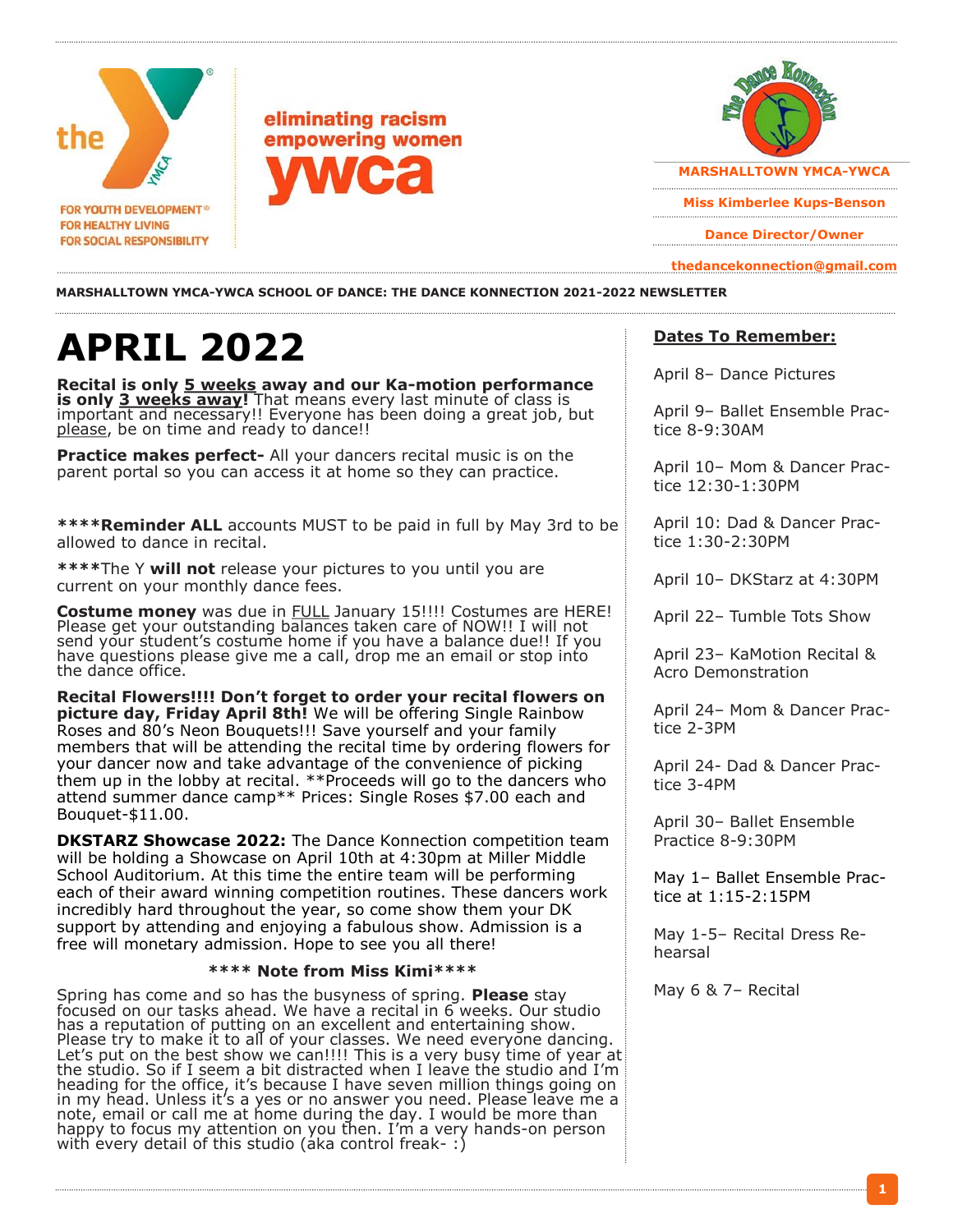



**Miss Kimberlee Kups-Benson** 

**Dance Director/Owner** 

**thedancekonnection@gmail.com**

#### **MARSHALLTOWN YMCA-YWCA SCHOOL OF DANCE: THE DANCE KONNECTION 2021-2022 NEWSLETTER**

# **APRIL 2022**

**Recital is only 5 weeks away and our Ka-motion performance is only 3 weeks away!** That means every last minute of class is important and necessary!! Everyone has been doing a great job, but please, be on time and ready to dance!!

**Practice makes perfect-** All your dancers recital music is on the parent portal so you can access it at home so they can practice.

**\*\*\*\*Reminder ALL** accounts MUST to be paid in full by May 3rd to be allowed to dance in recital.

**\*\*\*\***The Y **will not** release your pictures to you until you are current on your monthly dance fees.

**Costume money** was due in FULL January 15!!!! Costumes are HERE! Please get your outstanding balances taken care of NOW!! I will not send your student's costume home if you have a balance due!! If you have questions please give me a call, drop me an email or stop into the dance office.

**Recital Flowers!!!! Don't forget to order your recital flowers on picture day, Friday April 8th!** We will be offering Single Rainbow Roses and 80's Neon Bouquets!!! Save yourself and your family members that will be attending the recital time by ordering flowers for your dancer now and take advantage of the convenience of picking them up in the lobby at recital. \*\*Proceeds will go to the dancers who attend summer dance camp\*\* Prices: Single Roses \$7.00 each and Bouquet-\$11.00.

**DKSTARZ Showcase 2022:** The Dance Konnection competition team will be holding a Showcase on April 10th at 4:30pm at Miller Middle School Auditorium. At this time the entire team will be performing each of their award winning competition routines. These dancers work incredibly hard throughout the year, so come show them your DK support by attending and enjoying a fabulous show. Admission is a free will monetary admission. Hope to see you all there!

#### **\*\*\*\* Note from Miss Kimi\*\*\*\***

Spring has come and so has the busyness of spring. **Please** stay focused on our tasks ahead. We have a recital in 6 weeks. Our studio has a reputation of putting on an excellent and entertaining show. Please try to make it to all of your classes. We need everyone dancing. Let's put on the best show we can!!!! This is a very busy time of year at the studio. So if I seem a bit distracted when I leave the studio and I'm heading for the office, it's because I have seven million things going on in my head. Unless it's a yes or no answer you need. Please leave me a note, email or call me at home during the day. I would be more than happy to focus my attention on you then. I'm a very hands-on person with every detail of this studio (aka control freak-:)

#### **Dates To Remember:**

April 8– Dance Pictures

April 9– Ballet Ensemble Practice 8-9:30AM

April 10– Mom & Dancer Practice 12:30-1:30PM

April 10: Dad & Dancer Practice 1:30-2:30PM

April 10– DKStarz at 4:30PM

April 22– Tumble Tots Show

April 23– KaMotion Recital & Acro Demonstration

April 24– Mom & Dancer Practice 2-3PM

April 24- Dad & Dancer Practice 3-4PM

April 30– Ballet Ensemble Practice 8-9:30PM

May 1– Ballet Ensemble Practice at 1:15-2:15PM

May 1-5– Recital Dress Rehearsal

May 6 & 7– Recital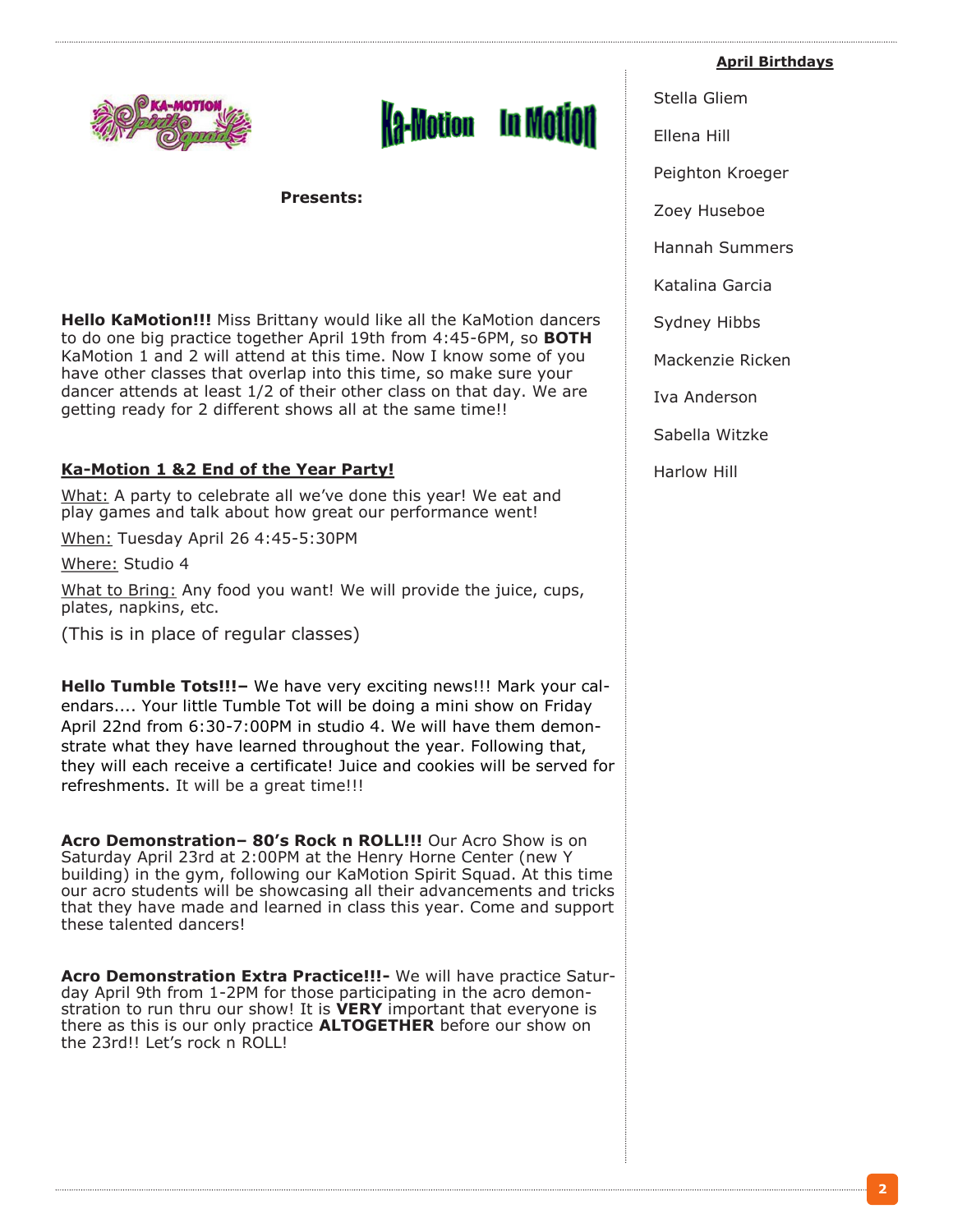



**Presents:**

**Hello KaMotion!!!** Miss Brittany would like all the KaMotion dancers to do one big practice together April 19th from 4:45-6PM, so **BOTH** KaMotion 1 and 2 will attend at this time. Now I know some of you have other classes that overlap into this time, so make sure your dancer attends at least 1/2 of their other class on that day. We are getting ready for 2 different shows all at the same time!!

## **Ka-Motion 1 &2 End of the Year Party!**

What: A party to celebrate all we've done this year! We eat and play games and talk about how great our performance went!

When: Tuesday April 26 4:45-5:30PM

Where: Studio 4

What to Bring: Any food you want! We will provide the juice, cups, plates, napkins, etc.

(This is in place of regular classes)

**Hello Tumble Tots!!!–** We have very exciting news!!! Mark your calendars.... Your little Tumble Tot will be doing a mini show on Friday April 22nd from 6:30-7:00PM in studio 4. We will have them demonstrate what they have learned throughout the year. Following that, they will each receive a certificate! Juice and cookies will be served for refreshments. It will be a great time!!!

**Acro Demonstration– 80's Rock n ROLL!!!** Our Acro Show is on Saturday April 23rd at 2:00PM at the Henry Horne Center (new Y building) in the gym, following our KaMotion Spirit Squad. At this time our acro students will be showcasing all their advancements and tricks that they have made and learned in class this year. Come and support these talented dancers!

**Acro Demonstration Extra Practice!!!-** We will have practice Saturday April 9th from 1-2PM for those participating in the acro demonstration to run thru our show! It is **VERY** important that everyone is there as this is our only practice **ALTOGETHER** before our show on the 23rd!! Let's rock n ROLL!

**April Birthdays**

Stella Gliem

Ellena Hill

Peighton Kroeger

Zoey Huseboe

Hannah Summers

Katalina Garcia

Sydney Hibbs

Mackenzie Ricken

Iva Anderson

Sabella Witzke

Harlow Hill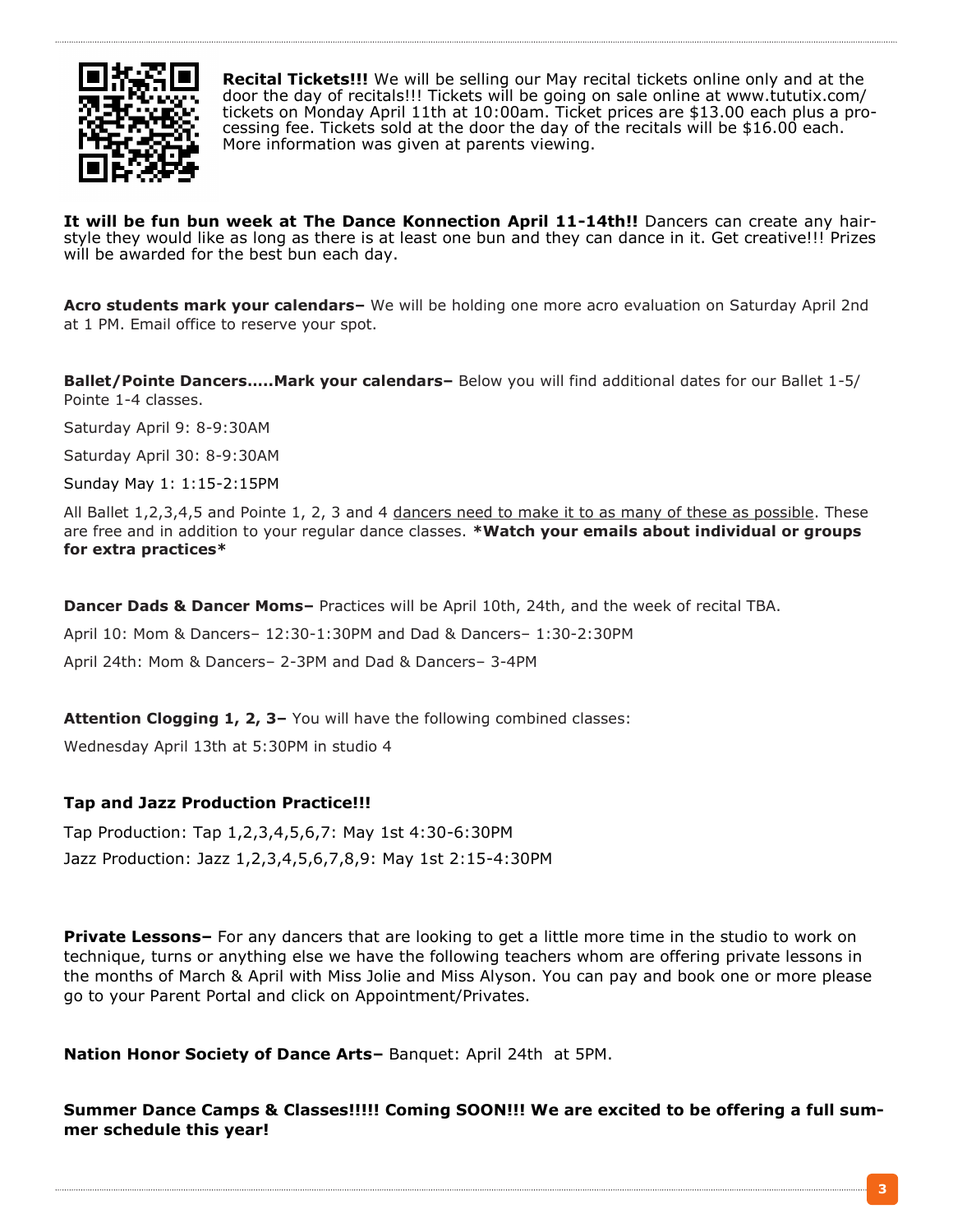

**Recital Tickets!!!** We will be selling our May recital tickets online only and at the door the day of recitals!!! Tickets will be going on sale online at www.tututix.com/ tickets on Monday April 11th at 10:00am. Ticket prices are \$13.00 each plus a processing fee. Tickets sold at the door the day of the recitals will be \$16.00 each. More information was given at parents viewing.

**It will be fun bun week at The Dance Konnection April 11-14th!!** Dancers can create any hairstyle they would like as long as there is at least one bun and they can dance in it. Get creative!!! Prizes will be awarded for the best bun each day.

**Acro students mark your calendars–** We will be holding one more acro evaluation on Saturday April 2nd at 1 PM. Email office to reserve your spot.

**Ballet/Pointe Dancers…..Mark your calendars–** Below you will find additional dates for our Ballet 1-5/ Pointe 1-4 classes.

Saturday April 9: 8-9:30AM

Saturday April 30: 8-9:30AM

Sunday May 1: 1:15-2:15PM

All Ballet 1,2,3,4,5 and Pointe 1, 2, 3 and 4 dancers need to make it to as many of these as possible. These are free and in addition to your regular dance classes. **\*Watch your emails about individual or groups for extra practices\***

**Dancer Dads & Dancer Moms–** Practices will be April 10th, 24th, and the week of recital TBA.

April 10: Mom & Dancers– 12:30-1:30PM and Dad & Dancers– 1:30-2:30PM

April 24th: Mom & Dancers– 2-3PM and Dad & Dancers– 3-4PM

**Attention Clogging 1, 2, 3–** You will have the following combined classes:

Wednesday April 13th at 5:30PM in studio 4

### **Tap and Jazz Production Practice!!!**

Tap Production: Tap 1,2,3,4,5,6,7: May 1st 4:30-6:30PM Jazz Production: Jazz 1,2,3,4,5,6,7,8,9: May 1st 2:15-4:30PM

**Private Lessons–** For any dancers that are looking to get a little more time in the studio to work on technique, turns or anything else we have the following teachers whom are offering private lessons in the months of March & April with Miss Jolie and Miss Alyson. You can pay and book one or more please go to your Parent Portal and click on Appointment/Privates.

**Nation Honor Society of Dance Arts–** Banquet: April 24th at 5PM.

**Summer Dance Camps & Classes!!!!! Coming SOON!!! We are excited to be offering a full summer schedule this year!**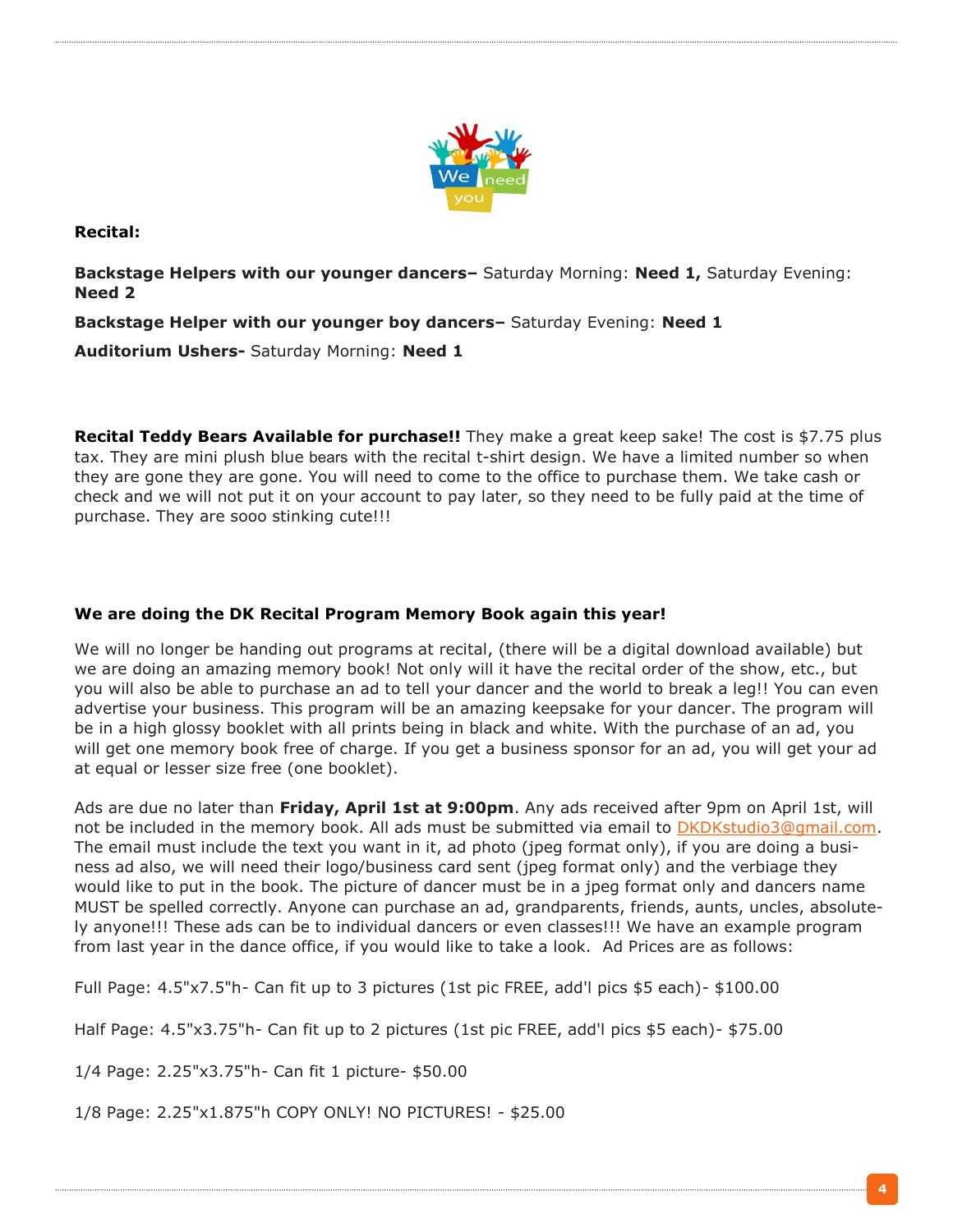

**Recital:**

**Backstage Helpers with our younger dancers–** Saturday Morning: **Need 1,** Saturday Evening: **Need 2**

**Backstage Helper with our younger boy dancers–** Saturday Evening: **Need 1**

**Auditorium Ushers-** Saturday Morning: **Need 1**

**Recital Teddy Bears Available for purchase!!** They make a great keep sake! The cost is \$7.75 plus tax. They are mini plush blue bears with the recital t-shirt design. We have a limited number so when they are gone they are gone. You will need to come to the office to purchase them. We take cash or check and we will not put it on your account to pay later, so they need to be fully paid at the time of purchase. They are sooo stinking cute!!!

# **We are doing the DK Recital Program Memory Book again this year!**

We will no longer be handing out programs at recital, (there will be a digital download available) but we are doing an amazing memory book! Not only will it have the recital order of the show, etc., but you will also be able to purchase an ad to tell your dancer and the world to break a leg!! You can even advertise your business. This program will be an amazing keepsake for your dancer. The program will be in a high glossy booklet with all prints being in black and white. With the purchase of an ad, you will get one memory book free of charge. If you get a business sponsor for an ad, you will get your ad at equal or lesser size free (one booklet).

Ads are due no later than **Friday, April 1st at 9:00pm**. Any ads received after 9pm on April 1st, will not be included in the memory book. All ads must be submitted via email to DKDKstudio3@qmail.com. The email must include the text you want in it, ad photo (jpeg format only), if you are doing a business ad also, we will need their logo/business card sent (jpeg format only) and the verbiage they would like to put in the book. The picture of dancer must be in a jpeg format only and dancers name MUST be spelled correctly. Anyone can purchase an ad, grandparents, friends, aunts, uncles, absolutely anyone!!! These ads can be to individual dancers or even classes!!! We have an example program from last year in the dance office, if you would like to take a look. Ad Prices are as follows:

Full Page: 4.5"x7.5"h- Can fit up to 3 pictures (1st pic FREE, add'l pics \$5 each)- \$100.00

Half Page: 4.5"x3.75"h- Can fit up to 2 pictures (1st pic FREE, add'l pics \$5 each)- \$75.00

1/4 Page: 2.25"x3.75"h- Can fit 1 picture- \$50.00

1/8 Page: 2.25"x1.875"h COPY ONLY! NO PICTURES! - \$25.00